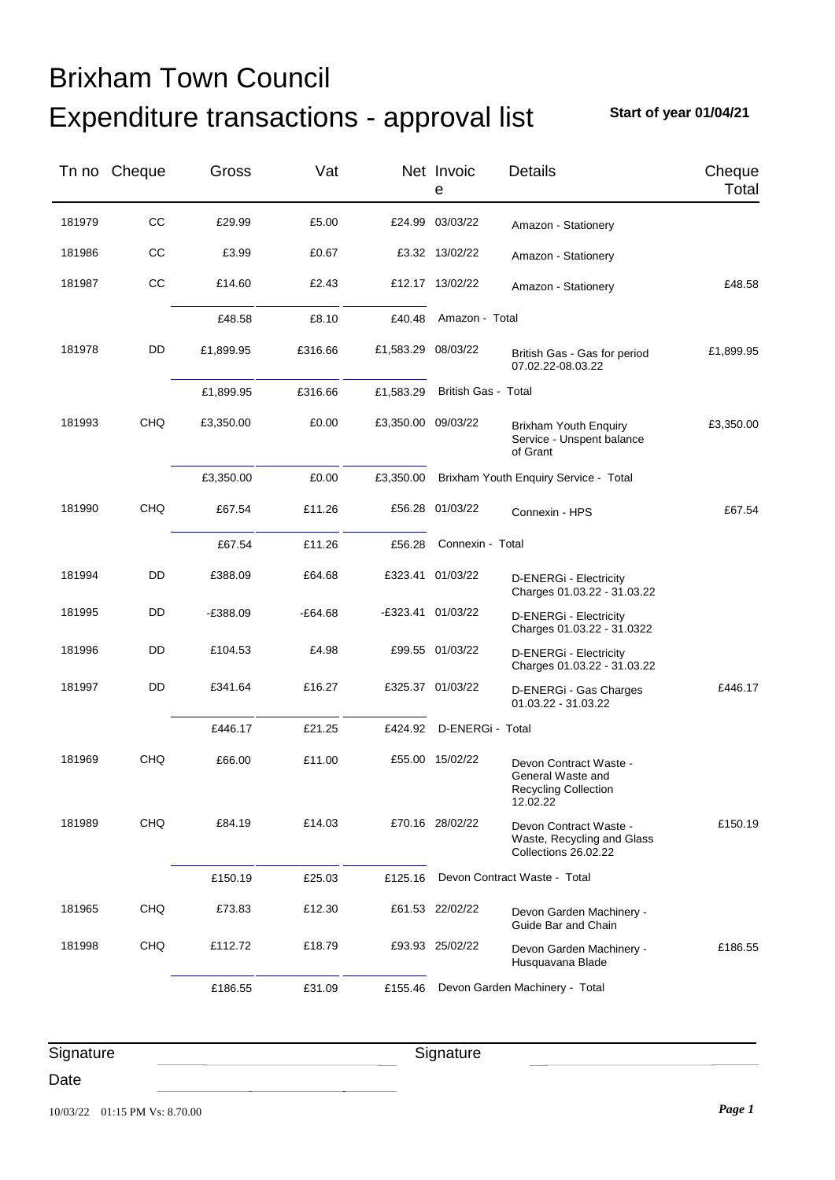## Expenditure transactions - approval list Brixham Town Council

**Start of year 01/04/21**

|           | Tn no Cheque | Gross      | Vat       |                    | Net Invoic<br>e            | Details                                                                                | Cheque<br>Total |
|-----------|--------------|------------|-----------|--------------------|----------------------------|----------------------------------------------------------------------------------------|-----------------|
| 181979    | CC           | £29.99     | £5.00     |                    | £24.99 03/03/22            | Amazon - Stationery                                                                    |                 |
| 181986    | CC           | £3.99      | £0.67     |                    | £3.32 13/02/22             | Amazon - Stationery                                                                    |                 |
| 181987    | CC           | £14.60     | £2.43     |                    | £12.17 13/02/22            | Amazon - Stationery                                                                    | £48.58          |
|           |              | £48.58     | £8.10     | £40.48             | Amazon - Total             |                                                                                        |                 |
| 181978    | DD           | £1,899.95  | £316.66   | £1,583.29 08/03/22 |                            | British Gas - Gas for period<br>07.02.22-08.03.22                                      | £1,899.95       |
|           |              | £1,899.95  | £316.66   | £1,583.29          | <b>British Gas - Total</b> |                                                                                        |                 |
| 181993    | <b>CHQ</b>   | £3,350.00  | £0.00     | £3,350.00 09/03/22 |                            | <b>Brixham Youth Enquiry</b><br>Service - Unspent balance<br>of Grant                  | £3,350.00       |
|           |              | £3,350.00  | £0.00     | £3,350.00          |                            | Brixham Youth Enquiry Service - Total                                                  |                 |
| 181990    | <b>CHQ</b>   | £67.54     | £11.26    |                    | £56.28 01/03/22            | Connexin - HPS                                                                         | £67.54          |
|           |              | £67.54     | £11.26    | £56.28             | Connexin - Total           |                                                                                        |                 |
| 181994    | DD           | £388.09    | £64.68    |                    | £323.41 01/03/22           | D-ENERGi - Electricity<br>Charges 01.03.22 - 31.03.22                                  |                 |
| 181995    | DD           | $-£388.09$ | $-£64.68$ |                    | -£323.41 01/03/22          | D-ENERGi - Electricity<br>Charges 01.03.22 - 31.0322                                   |                 |
| 181996    | DD           | £104.53    | £4.98     |                    | £99.55 01/03/22            | D-ENERGi - Electricity<br>Charges 01.03.22 - 31.03.22                                  |                 |
| 181997    | DD           | £341.64    | £16.27    |                    | £325.37 01/03/22           | D-ENERGi - Gas Charges<br>01.03.22 - 31.03.22                                          | £446.17         |
|           |              | £446.17    | £21.25    | £424.92            | D-ENERGi - Total           |                                                                                        |                 |
| 181969    | <b>CHQ</b>   | £66.00     | £11.00    |                    | £55.00 15/02/22            | Devon Contract Waste -<br>General Waste and<br><b>Recycling Collection</b><br>12.02.22 |                 |
| 181989    | CHQ          | £84.19     | £14.03    |                    | £70.16 28/02/22            | Devon Contract Waste -<br>Waste, Recycling and Glass<br>Collections 26.02.22           | £150.19         |
|           |              | £150.19    | £25.03    | £125.16            |                            | Devon Contract Waste - Total                                                           |                 |
| 181965    | <b>CHQ</b>   | £73.83     | £12.30    |                    | £61.53 22/02/22            | Devon Garden Machinery -<br>Guide Bar and Chain                                        |                 |
| 181998    | CHQ          | £112.72    | £18.79    |                    | £93.93 25/02/22            | Devon Garden Machinery -<br>Husquavana Blade                                           | £186.55         |
|           |              | £186.55    | £31.09    | £155.46            |                            | Devon Garden Machinery - Total                                                         |                 |
| Signature |              |            |           |                    | Signature                  |                                                                                        |                 |

Date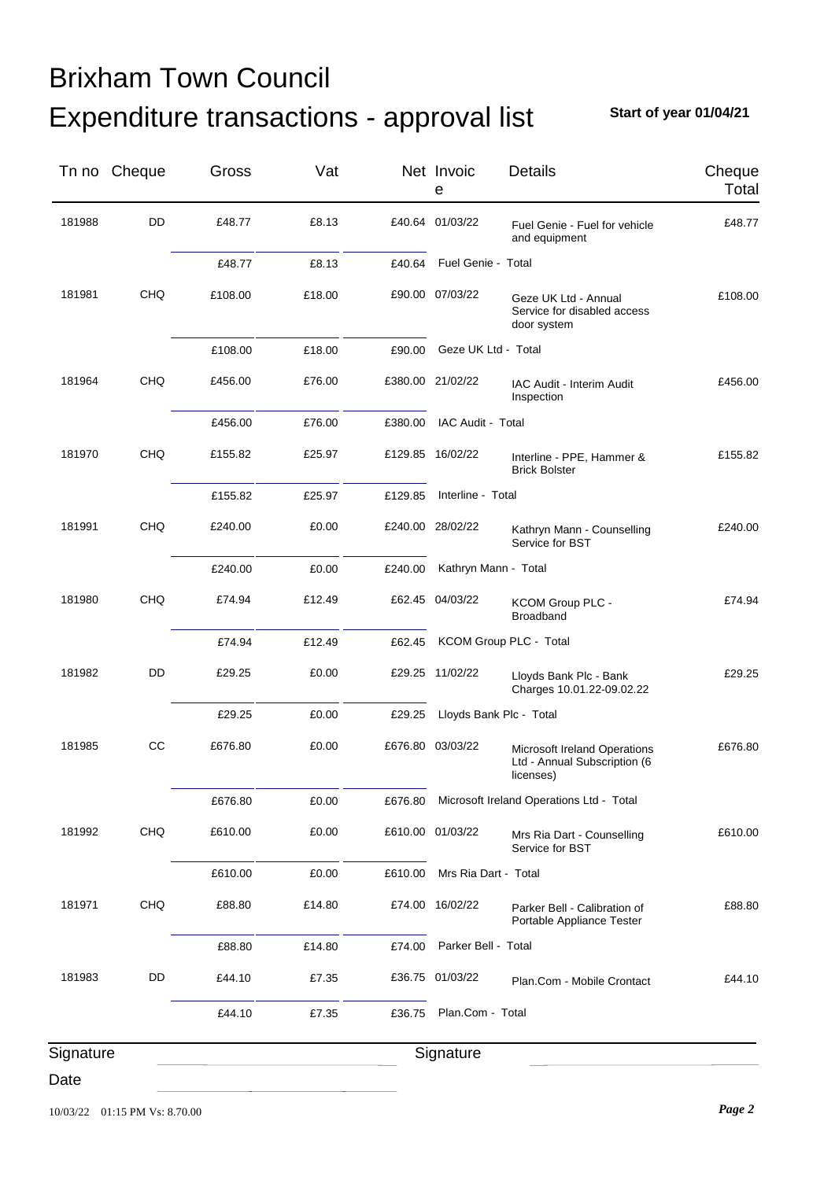## Expenditure transactions - approval list Brixham Town Council

**Start of year 01/04/21**

|           | Tn no Cheque | Gross   | Vat    |         | Net Invoic<br>e         | Details                                                                   | Cheque<br>Total |
|-----------|--------------|---------|--------|---------|-------------------------|---------------------------------------------------------------------------|-----------------|
| 181988    | DD           | £48.77  | £8.13  |         | £40.64 01/03/22         | Fuel Genie - Fuel for vehicle<br>and equipment                            | £48.77          |
|           |              | £48.77  | £8.13  | £40.64  | Fuel Genie - Total      |                                                                           |                 |
| 181981    | <b>CHQ</b>   | £108.00 | £18.00 |         | £90.00 07/03/22         | Geze UK Ltd - Annual<br>Service for disabled access<br>door system        | £108.00         |
|           |              | £108.00 | £18.00 | £90.00  | Geze UK Ltd - Total     |                                                                           |                 |
| 181964    | <b>CHQ</b>   | £456.00 | £76.00 |         | £380.00 21/02/22        | IAC Audit - Interim Audit<br>Inspection                                   | £456.00         |
|           |              | £456.00 | £76.00 | £380.00 | IAC Audit - Total       |                                                                           |                 |
| 181970    | <b>CHQ</b>   | £155.82 | £25.97 |         | £129.85 16/02/22        | Interline - PPE, Hammer &<br><b>Brick Bolster</b>                         | £155.82         |
|           |              | £155.82 | £25.97 | £129.85 | Interline - Total       |                                                                           |                 |
| 181991    | <b>CHQ</b>   | £240.00 | £0.00  |         | £240.00 28/02/22        | Kathryn Mann - Counselling<br>Service for BST                             | £240.00         |
|           |              | £240.00 | £0.00  | £240.00 | Kathryn Mann - Total    |                                                                           |                 |
| 181980    | <b>CHQ</b>   | £74.94  | £12.49 |         | £62.45 04/03/22         | KCOM Group PLC -<br><b>Broadband</b>                                      | £74.94          |
|           |              | £74.94  | £12.49 | £62.45  |                         | KCOM Group PLC - Total                                                    |                 |
| 181982    | DD           | £29.25  | £0.00  |         | £29.25 11/02/22         | Lloyds Bank Plc - Bank<br>Charges 10.01.22-09.02.22                       | £29.25          |
|           |              | £29.25  | £0.00  | £29.25  | Lloyds Bank Plc - Total |                                                                           |                 |
| 181985    | CC           | £676.80 | £0.00  |         | £676.80 03/03/22        | Microsoft Ireland Operations<br>Ltd - Annual Subscription (6<br>licenses) | £676.80         |
|           |              | £676.80 | £0.00  | £676.80 |                         | Microsoft Ireland Operations Ltd - Total                                  |                 |
| 181992    | CHQ          | £610.00 | £0.00  |         | £610.00 01/03/22        | Mrs Ria Dart - Counselling<br>Service for BST                             | £610.00         |
|           |              | £610.00 | £0.00  | £610.00 | Mrs Ria Dart - Total    |                                                                           |                 |
| 181971    | <b>CHQ</b>   | £88.80  | £14.80 |         | £74.00 16/02/22         | Parker Bell - Calibration of<br>Portable Appliance Tester                 | £88.80          |
|           |              | £88.80  | £14.80 | £74.00  | Parker Bell - Total     |                                                                           |                 |
| 181983    | DD           | £44.10  | £7.35  |         | £36.75 01/03/22         | Plan.Com - Mobile Crontact                                                | £44.10          |
|           |              | £44.10  | £7.35  | £36.75  | Plan.Com - Total        |                                                                           |                 |
| Signature |              |         |        |         | Signature               |                                                                           |                 |
| Date      |              |         |        |         |                         |                                                                           |                 |